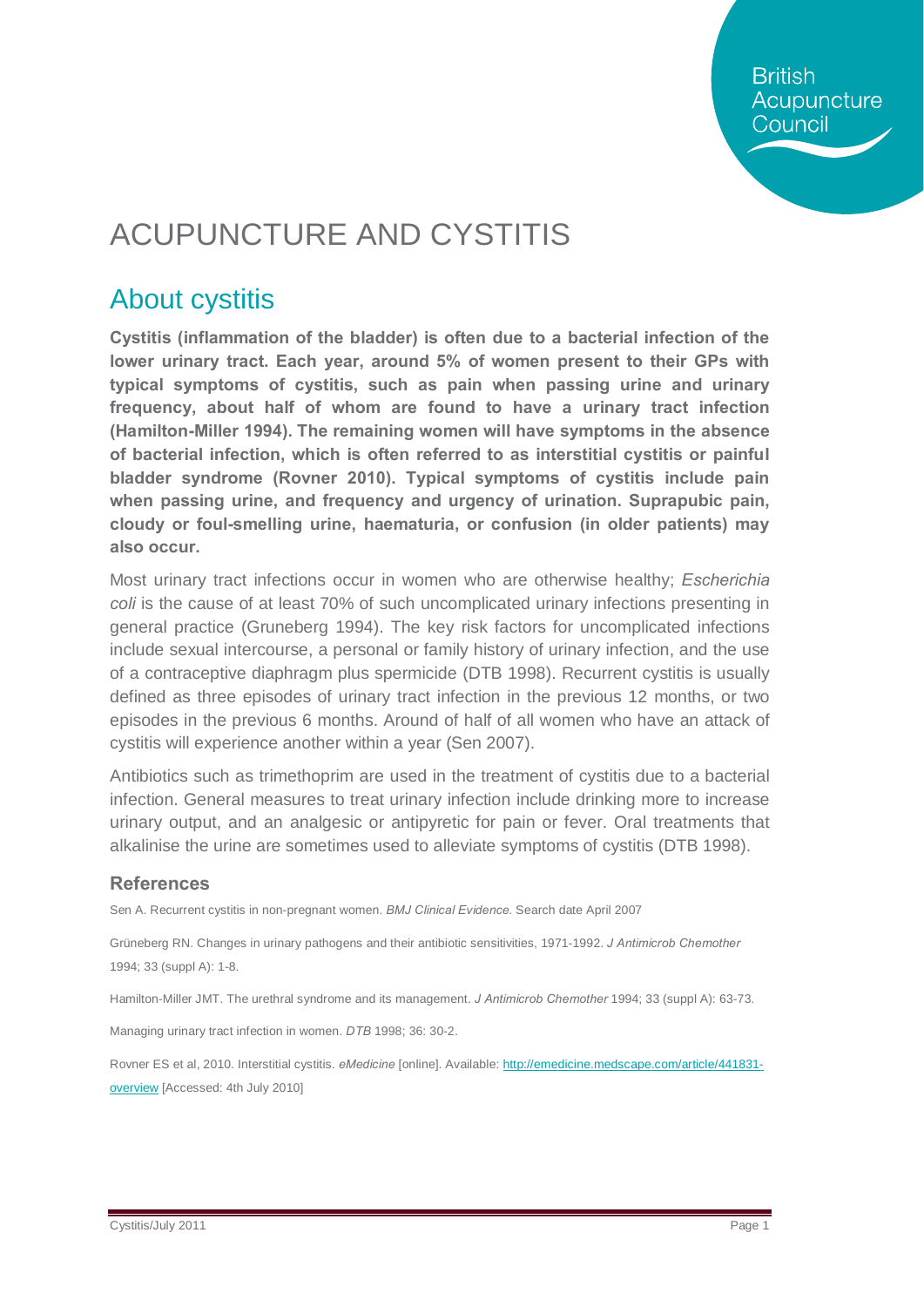**British** Acupuncture Council

# ACUPUNCTURE AND CYSTITIS

### About cystitis

**Cystitis (inflammation of the bladder) is often due to a bacterial infection of the lower urinary tract. Each year, around 5% of women present to their GPs with typical symptoms of cystitis, such as pain when passing urine and urinary frequency, about half of whom are found to have a urinary tract infection (Hamilton-Miller 1994). The remaining women will have symptoms in the absence of bacterial infection, which is often referred to as interstitial cystitis or painful bladder syndrome (Rovner 2010). Typical symptoms of cystitis include pain when passing urine, and frequency and urgency of urination. Suprapubic pain, cloudy or foul-smelling urine, haematuria, or confusion (in older patients) may also occur.** 

Most urinary tract infections occur in women who are otherwise healthy; *Escherichia coli* is the cause of at least 70% of such uncomplicated urinary infections presenting in general practice (Gruneberg 1994). The key risk factors for uncomplicated infections include sexual intercourse, a personal or family history of urinary infection, and the use of a contraceptive diaphragm plus spermicide (DTB 1998). Recurrent cystitis is usually defined as three episodes of urinary tract infection in the previous 12 months, or two episodes in the previous 6 months. Around of half of all women who have an attack of cystitis will experience another within a year (Sen 2007).

Antibiotics such as trimethoprim are used in the treatment of cystitis due to a bacterial infection. General measures to treat urinary infection include drinking more to increase urinary output, and an analgesic or antipyretic for pain or fever. Oral treatments that alkalinise the urine are sometimes used to alleviate symptoms of cystitis (DTB 1998).

#### **References**

Sen A. Recurrent cystitis in non-pregnant women. *BMJ Clinical Evidence.* Search date April 2007

Grüneberg RN. Changes in urinary pathogens and their antibiotic sensitivities, 1971-1992. *J Antimicrob Chemother*  1994; 33 (suppl A): 1-8.

Hamilton-Miller JMT. The urethral syndrome and its management. *J Antimicrob Chemother* 1994; 33 (suppl A): 63-73.

Managing urinary tract infection in women. *DTB* 1998; 36: 30-2.

Rovner ES et al, 2010. Interstitial cystitis. *eMedicine* [online]. Available: [http://emedicine.medscape.com/article/441831](http://emedicine.medscape.com/article/441831-overview) [overview](http://emedicine.medscape.com/article/441831-overview) [Accessed: 4th July 2010]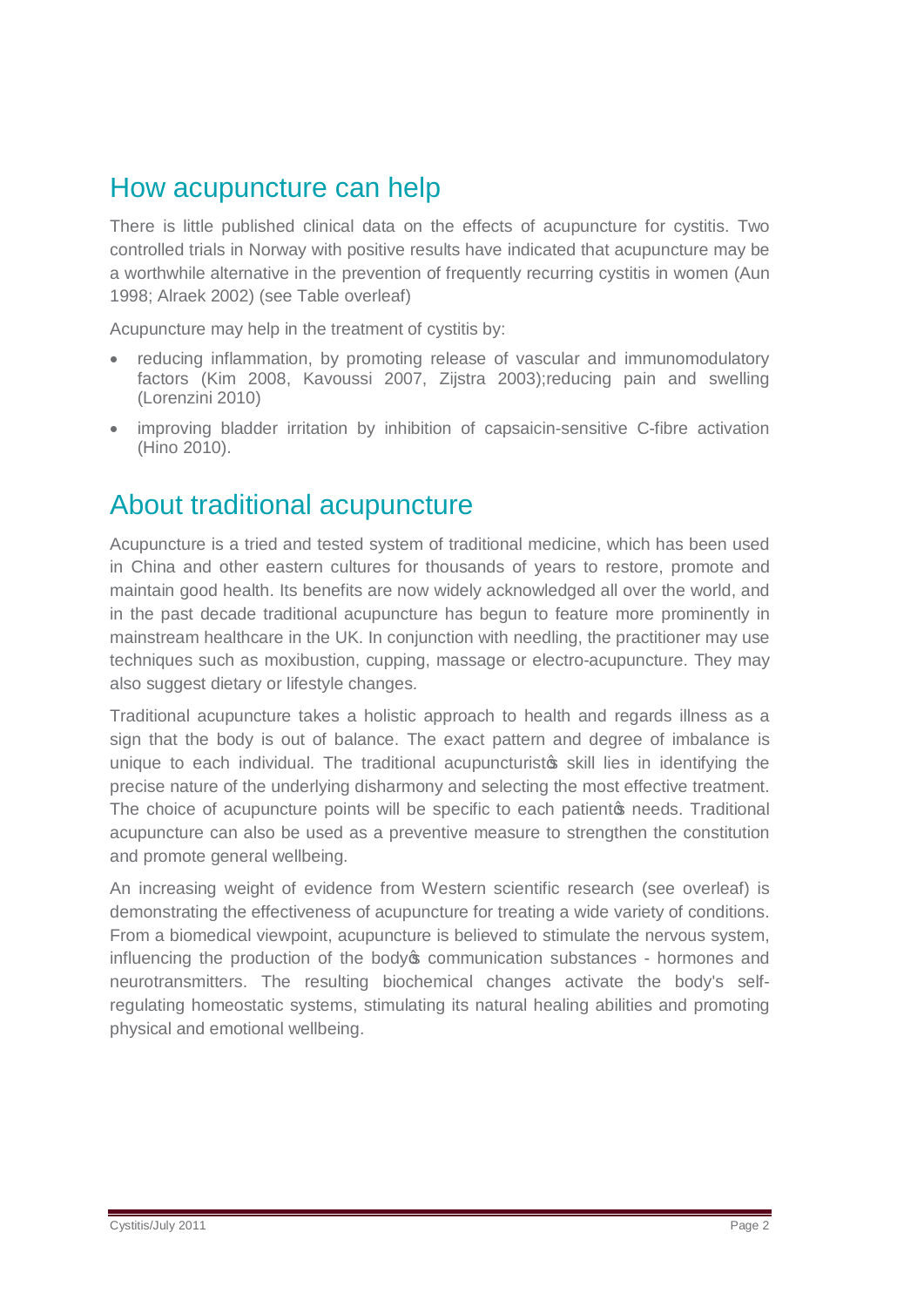#### How acupuncture can help

There is little published clinical data on the effects of acupuncture for cystitis. Two controlled trials in Norway with positive results have indicated that acupuncture may be a worthwhile alternative in the prevention of frequently recurring cystitis in women (Aun 1998; Alraek 2002) (see Table overleaf)

Acupuncture may help in the treatment of cystitis by:

- reducing inflammation, by promoting release of vascular and immunomodulatory factors (Kim 2008, Kavoussi 2007, Zijstra 2003);reducing pain and swelling (Lorenzini 2010)
- · improving bladder irritation by inhibition of capsaicin-sensitive C-fibre activation (Hino 2010).

### About traditional acupuncture

Acupuncture is a tried and tested system of traditional medicine, which has been used in China and other eastern cultures for thousands of years to restore, promote and maintain good health. Its benefits are now widely acknowledged all over the world, and in the past decade traditional acupuncture has begun to feature more prominently in mainstream healthcare in the UK. In conjunction with needling, the practitioner may use techniques such as moxibustion, cupping, massage or electro-acupuncture. They may also suggest dietary or lifestyle changes.

Traditional acupuncture takes a holistic approach to health and regards illness as a sign that the body is out of balance. The exact pattern and degree of imbalance is unique to each individual. The traditional acupuncturisto skill lies in identifying the precise nature of the underlying disharmony and selecting the most effective treatment. The choice of acupuncture points will be specific to each patiento needs. Traditional acupuncture can also be used as a preventive measure to strengthen the constitution and promote general wellbeing.

An increasing weight of evidence from Western scientific research (see overleaf) is demonstrating the effectiveness of acupuncture for treating a wide variety of conditions. From a biomedical viewpoint, acupuncture is believed to stimulate the nervous system, influencing the production of the body ocommunication substances - hormones and neurotransmitters. The resulting biochemical changes activate the body's selfregulating homeostatic systems, stimulating its natural healing abilities and promoting physical and emotional wellbeing.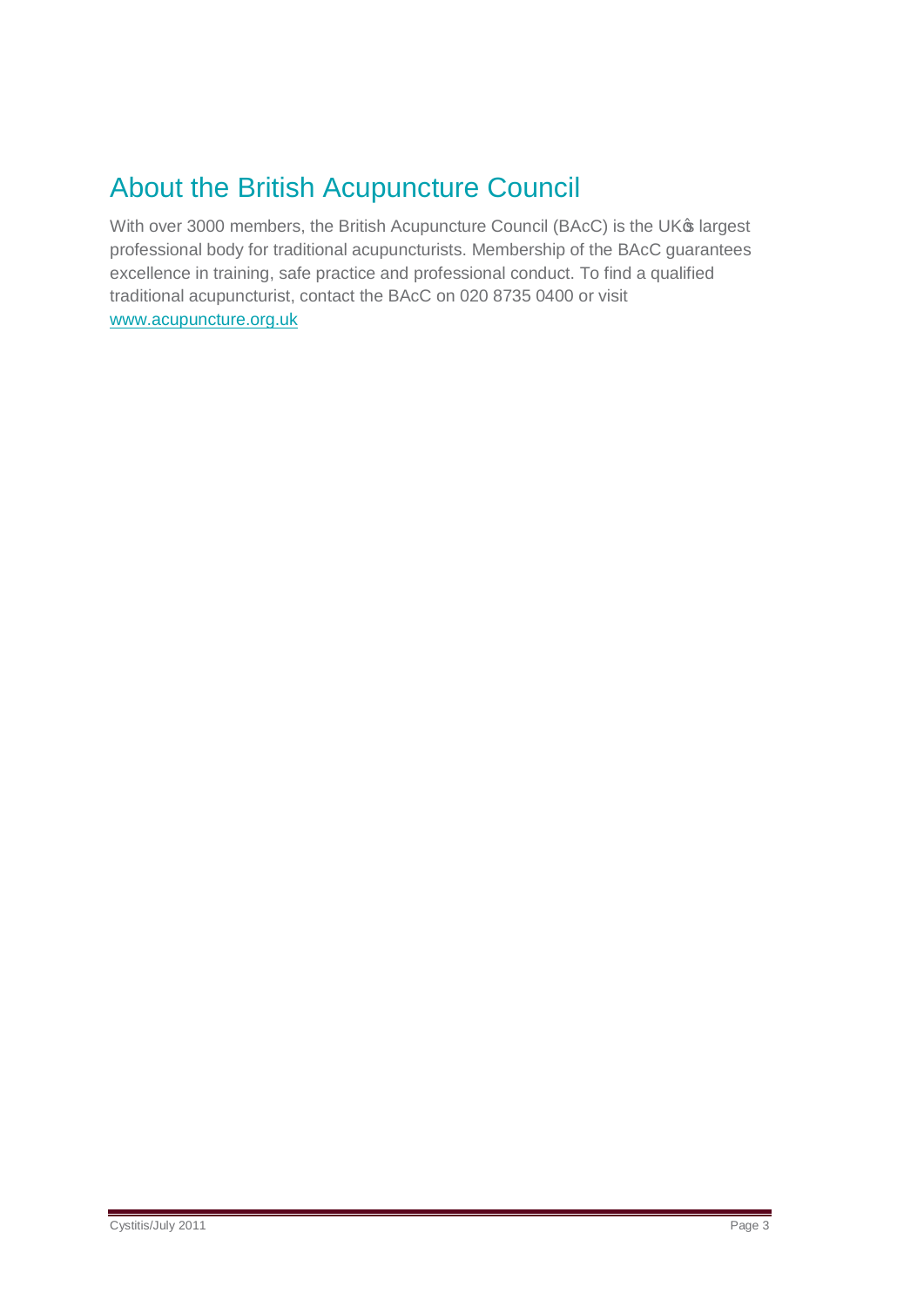## About the British Acupuncture Council

With over 3000 members, the British Acupuncture Council (BAcC) is the UK® largest professional body for traditional acupuncturists. Membership of the BAcC guarantees excellence in training, safe practice and professional conduct. To find a qualified traditional acupuncturist, contact the BAcC on 020 8735 0400 or visit [www.acupuncture.org.uk](http://www.acupuncture.org.uk/)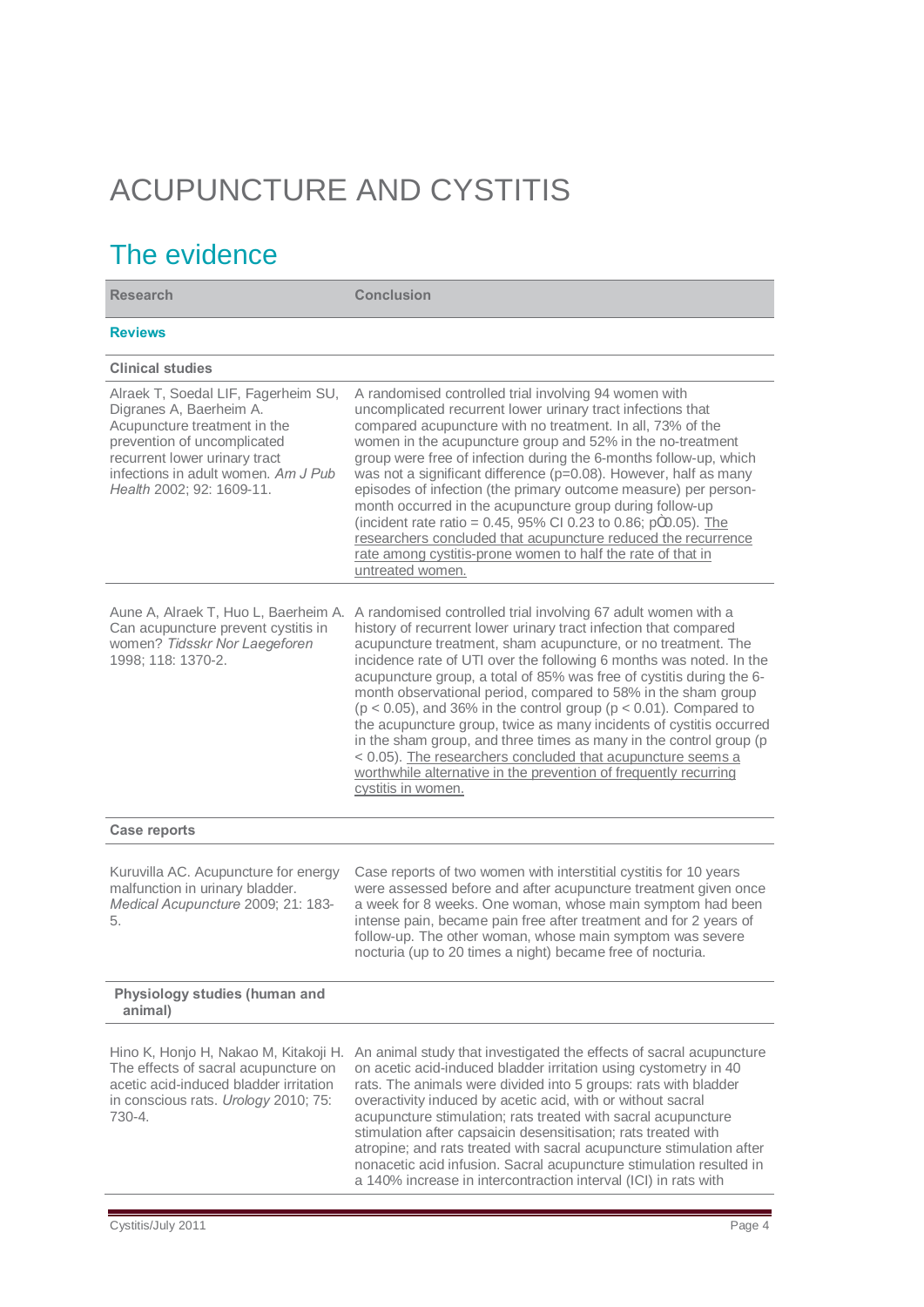# ACUPUNCTURE AND CYSTITIS

## The evidence

| <b>Research</b>                                                                                                                                                                                                                    | <b>Conclusion</b>                                                                                                                                                                                                                                                                                                                                                                                                                                                                                                                                                                                                                                                                                                                                                                                    |
|------------------------------------------------------------------------------------------------------------------------------------------------------------------------------------------------------------------------------------|------------------------------------------------------------------------------------------------------------------------------------------------------------------------------------------------------------------------------------------------------------------------------------------------------------------------------------------------------------------------------------------------------------------------------------------------------------------------------------------------------------------------------------------------------------------------------------------------------------------------------------------------------------------------------------------------------------------------------------------------------------------------------------------------------|
| <b>Reviews</b>                                                                                                                                                                                                                     |                                                                                                                                                                                                                                                                                                                                                                                                                                                                                                                                                                                                                                                                                                                                                                                                      |
| <b>Clinical studies</b>                                                                                                                                                                                                            |                                                                                                                                                                                                                                                                                                                                                                                                                                                                                                                                                                                                                                                                                                                                                                                                      |
| Alraek T, Soedal LIF, Fagerheim SU,<br>Digranes A, Baerheim A.<br>Acupuncture treatment in the<br>prevention of uncomplicated<br>recurrent lower urinary tract<br>infections in adult women. Am J Pub<br>Health 2002; 92: 1609-11. | A randomised controlled trial involving 94 women with<br>uncomplicated recurrent lower urinary tract infections that<br>compared acupuncture with no treatment. In all, 73% of the<br>women in the acupuncture group and 52% in the no-treatment<br>group were free of infection during the 6-months follow-up, which<br>was not a significant difference (p=0.08). However, half as many<br>episodes of infection (the primary outcome measure) per person-<br>month occurred in the acupuncture group during follow-up<br>(incident rate ratio = $0.45$ , 95% CI 0.23 to 0.86; pm0.05). The<br>researchers concluded that acupuncture reduced the recurrence<br>rate among cystitis-prone women to half the rate of that in<br>untreated women.                                                    |
| Aune A, Alraek T, Huo L, Baerheim A.<br>Can acupuncture prevent cystitis in<br>women? Tidsskr Nor Laegeforen<br>1998; 118: 1370-2.                                                                                                 | A randomised controlled trial involving 67 adult women with a<br>history of recurrent lower urinary tract infection that compared<br>acupuncture treatment, sham acupuncture, or no treatment. The<br>incidence rate of UTI over the following 6 months was noted. In the<br>acupuncture group, a total of 85% was free of cystitis during the 6-<br>month observational period, compared to 58% in the sham group<br>( $p < 0.05$ ), and 36% in the control group ( $p < 0.01$ ). Compared to<br>the acupuncture group, twice as many incidents of cystitis occurred<br>in the sham group, and three times as many in the control group (p<br>< 0.05). The researchers concluded that acupuncture seems a<br>worthwhile alternative in the prevention of frequently recurring<br>cystitis in women. |
| <b>Case reports</b>                                                                                                                                                                                                                |                                                                                                                                                                                                                                                                                                                                                                                                                                                                                                                                                                                                                                                                                                                                                                                                      |
| Kuruvilla AC. Acupuncture for energy<br>malfunction in urinary bladder.<br>Medical Acupuncture 2009; 21: 183-<br>5.                                                                                                                | Case reports of two women with interstitial cystitis for 10 years<br>were assessed before and after acupuncture treatment given once<br>a week for 8 weeks. One woman, whose main symptom had been<br>intense pain, became pain free after treatment and for 2 years of<br>follow-up. The other woman, whose main symptom was severe<br>nocturia (up to 20 times a night) became free of nocturia.                                                                                                                                                                                                                                                                                                                                                                                                   |
| Physiology studies (human and<br>animal)                                                                                                                                                                                           |                                                                                                                                                                                                                                                                                                                                                                                                                                                                                                                                                                                                                                                                                                                                                                                                      |
| Hino K, Honjo H, Nakao M, Kitakoji H.<br>The effects of sacral acupuncture on<br>acetic acid-induced bladder irritation<br>in conscious rats. Urology 2010; 75:<br>730-4.                                                          | An animal study that investigated the effects of sacral acupuncture<br>on acetic acid-induced bladder irritation using cystometry in 40<br>rats. The animals were divided into 5 groups: rats with bladder<br>overactivity induced by acetic acid, with or without sacral<br>acupuncture stimulation; rats treated with sacral acupuncture<br>stimulation after capsaicin desensitisation; rats treated with<br>atropine; and rats treated with sacral acupuncture stimulation after<br>nonacetic acid infusion. Sacral acupuncture stimulation resulted in<br>a 140% increase in intercontraction interval (ICI) in rats with                                                                                                                                                                       |